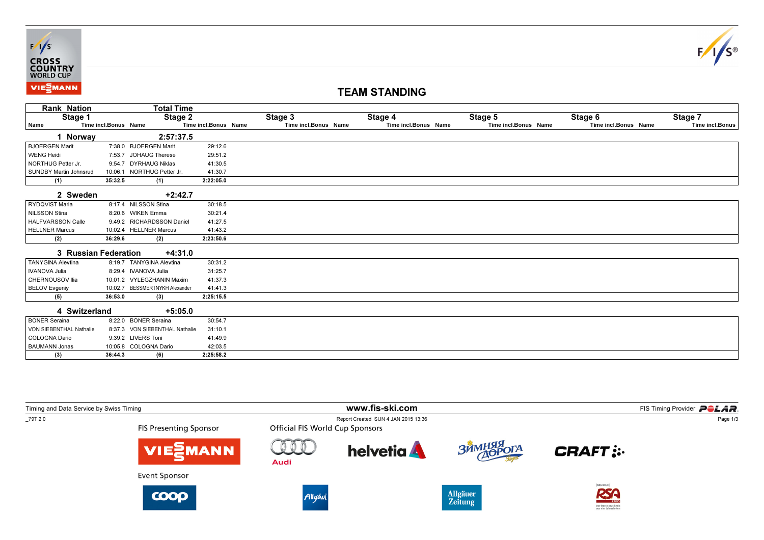



## TEAM STANDING

| <b>Rank Nation</b>            |                      | <b>Total Time</b>              |                      |                      |                      |                      |                      |                 |
|-------------------------------|----------------------|--------------------------------|----------------------|----------------------|----------------------|----------------------|----------------------|-----------------|
| Stage 1                       |                      | Stage 2                        |                      | Stage 3              | Stage 4              | Stage 5              | Stage 6              | Stage 7         |
| Name                          | Time incl.Bonus Name |                                | Time incl.Bonus Name | Time incl.Bonus Name | Time incl.Bonus Name | Time incl.Bonus Name | Time incl.Bonus Name | Time incl.Bonus |
| I Norway                      |                      | 2:57:37.5                      |                      |                      |                      |                      |                      |                 |
| <b>BJOERGEN Marit</b>         |                      | 7:38.0 BJOERGEN Marit          | 29:12.6              |                      |                      |                      |                      |                 |
| <b>WENG Heidi</b>             | 7:53.7               | <b>JOHAUG Therese</b>          | 29:51.2              |                      |                      |                      |                      |                 |
| NORTHUG Petter Jr.            |                      | 9:54.7 DYRHAUG Niklas          | 41:30.5              |                      |                      |                      |                      |                 |
| <b>SUNDBY Martin Johnsrud</b> | 10:06.1              | NORTHUG Petter Jr.             | 41:30.7              |                      |                      |                      |                      |                 |
| (1)                           | 35:32.5              | (1)                            | 2:22:05.0            |                      |                      |                      |                      |                 |
| 2 Sweden                      |                      | $+2:42.7$                      |                      |                      |                      |                      |                      |                 |
| RYDQVIST Maria                |                      | 8:17.4 NILSSON Stina           | 30:18.5              |                      |                      |                      |                      |                 |
| NILSSON Stina                 |                      | 8:20.6 WIKEN Emma              | 30:21.4              |                      |                      |                      |                      |                 |
| <b>HALFVARSSON Calle</b>      |                      | 9:49.2 RICHARDSSON Daniel      | 41:27.5              |                      |                      |                      |                      |                 |
| <b>HELLNER Marcus</b>         |                      | 10:02.4 HELLNER Marcus         | 41:43.2              |                      |                      |                      |                      |                 |
| (2)                           | 36:29.6              | (2)                            | 2:23:50.6            |                      |                      |                      |                      |                 |
| 3 Russian Federation          |                      | $+4:31.0$                      |                      |                      |                      |                      |                      |                 |
| <b>TANYGINA Alevtina</b>      |                      | 8:19.7 TANYGINA Alevtina       | 30:31.2              |                      |                      |                      |                      |                 |
| <b>IVANOVA Julia</b>          |                      | 8:29.4 IVANOVA Julia           | 31:25.7              |                      |                      |                      |                      |                 |
| <b>CHERNOUSOV Ilia</b>        |                      | 10:01.2 VYLEGZHANIN Maxim      | 41:37.3              |                      |                      |                      |                      |                 |
| <b>BELOV Evgeniy</b>          | 10:02.7              | <b>BESSMERTNYKH Alexander</b>  | 41:41.3              |                      |                      |                      |                      |                 |
| (5)                           | 36:53.0              | (3)                            | 2:25:15.5            |                      |                      |                      |                      |                 |
| 4 Switzerland                 |                      | $+5:05.0$                      |                      |                      |                      |                      |                      |                 |
| <b>BONER Seraina</b>          |                      | 8:22.0 BONER Seraina           | 30:54.7              |                      |                      |                      |                      |                 |
| VON SIEBENTHAL Nathalie       |                      | 8:37.3 VON SIEBENTHAL Nathalie | 31:10.1              |                      |                      |                      |                      |                 |
| COLOGNA Dario                 |                      | 9:39.2 LIVERS Toni             | 41:49.9              |                      |                      |                      |                      |                 |
| <b>BAUMANN Jonas</b>          |                      | 10:05.8 COLOGNA Dario          | 42:03.5              |                      |                      |                      |                      |                 |
| (3)                           | 36:44.3              | (6)                            | 2:25:58.2            |                      |                      |                      |                      |                 |

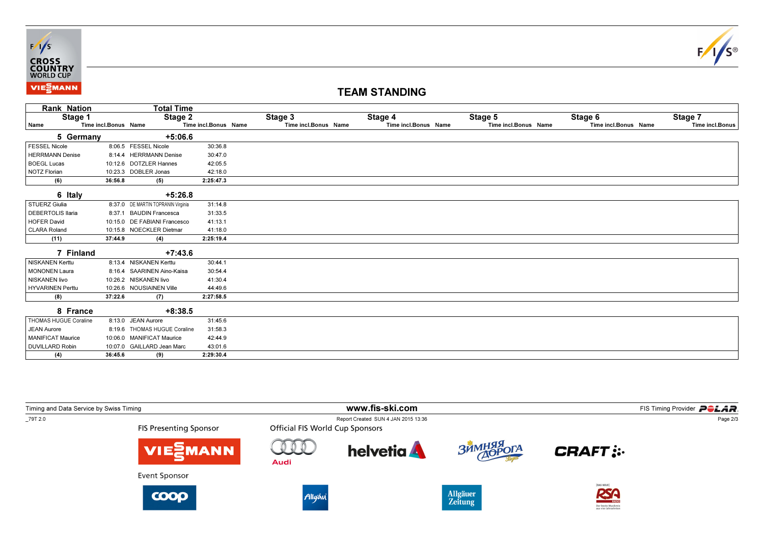



## TEAM STANDING

| <b>Rank Nation</b>     |                      | <b>Total Time</b>                  |                      |                      |                      |                      |                      |                 |
|------------------------|----------------------|------------------------------------|----------------------|----------------------|----------------------|----------------------|----------------------|-----------------|
| Stage 1                |                      | Stage 2                            |                      | Stage 3              | Stage 4              | Stage 5              | Stage 6              | Stage 7         |
| ∣ Name                 | Time incl.Bonus Name |                                    | Time incl.Bonus Name | Time incl.Bonus Name | Time incl.Bonus Name | Time incl.Bonus Name | Time incl.Bonus Name | Time incl.Bonus |
| 5 Germany              |                      | $+5:06.6$                          |                      |                      |                      |                      |                      |                 |
| <b>FESSEL Nicole</b>   |                      | 8:06.5 FESSEL Nicole               | 30:36.8              |                      |                      |                      |                      |                 |
| <b>HERRMANN Denise</b> |                      | 8:14.4 HERRMANN Denise             | 30:47.0              |                      |                      |                      |                      |                 |
| <b>BOEGL Lucas</b>     |                      | 10:12.6 DOTZLER Hannes             | 42:05.5              |                      |                      |                      |                      |                 |
| NOTZ Florian           |                      | 10:23.3 DOBLER Jonas               | 42:18.0              |                      |                      |                      |                      |                 |
| (6)                    | 36:56.8              | (5)                                | 2:25:47.3            |                      |                      |                      |                      |                 |
| 6 Italy                |                      | $+5:26.8$                          |                      |                      |                      |                      |                      |                 |
| STUERZ Giulia          |                      | 8:37.0 DE MARTIN TOPRANIN Virginia | 31:14.8              |                      |                      |                      |                      |                 |
| DEBERTOLIS Ilaria      | 8:37.1               | <b>BAUDIN Francesca</b>            | 31:33.5              |                      |                      |                      |                      |                 |
| HOFER David            |                      | 10:15.0 DE FABIANI Francesco       | 41:13.1              |                      |                      |                      |                      |                 |
| CLARA Roland           |                      | 10:15.8 NOECKLER Dietmar           | 41:18.0              |                      |                      |                      |                      |                 |
| (11)                   | 37:44.9              | (4)                                | 2:25:19.4            |                      |                      |                      |                      |                 |
| 7 Finland              |                      | $+7:43.6$                          |                      |                      |                      |                      |                      |                 |
| NISKANEN Kerttu        |                      | 8:13.4 NISKANEN Kerttu             | 30:44.1              |                      |                      |                      |                      |                 |
| <b>MONONEN Laura</b>   |                      | 8:16.4 SAARINEN Aino-Kaisa         | 30:54.4              |                      |                      |                      |                      |                 |
| NISKANEN livo          |                      | 10:26.2 NISKANEN livo              | 41:30.4              |                      |                      |                      |                      |                 |
| HYVARINEN Perttu       |                      | 10:26.6 NOUSIAINEN Ville           | 44:49.6              |                      |                      |                      |                      |                 |
| (8)                    | 37:22.6              | (7)                                | 2:27:58.5            |                      |                      |                      |                      |                 |
| 8 France               |                      | $+8:38.5$                          |                      |                      |                      |                      |                      |                 |
| THOMAS HUGUE Coraline  |                      | 8:13.0 JEAN Aurore                 | 31:45.6              |                      |                      |                      |                      |                 |
| <b>JEAN Aurore</b>     |                      | 8:19.6 THOMAS HUGUE Coraline       | 31:58.3              |                      |                      |                      |                      |                 |
| MANIFICAT Maurice      |                      | 10:06.0 MANIFICAT Maurice          | 42:44.9              |                      |                      |                      |                      |                 |
| <b>DUVILLARD Robin</b> |                      | 10:07.0 GAILLARD Jean Marc         | 43:01.6              |                      |                      |                      |                      |                 |
| (4)                    | 36:45.6              | (9)                                | 2:29:30.4            |                      |                      |                      |                      |                 |